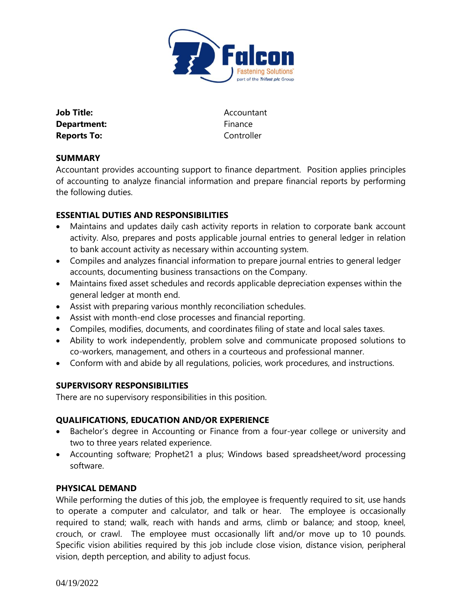

| Job Title:         |
|--------------------|
| Department:        |
| <b>Reports To:</b> |

**Job Title:** Accountant **Department:** Finance **Reports To:** Controller

### **SUMMARY**

Accountant provides accounting support to finance department. Position applies principles of accounting to analyze financial information and prepare financial reports by performing the following duties.

## **ESSENTIAL DUTIES AND RESPONSIBILITIES**

- Maintains and updates daily cash activity reports in relation to corporate bank account activity. Also, prepares and posts applicable journal entries to general ledger in relation to bank account activity as necessary within accounting system.
- Compiles and analyzes financial information to prepare journal entries to general ledger accounts, documenting business transactions on the Company.
- Maintains fixed asset schedules and records applicable depreciation expenses within the general ledger at month end.
- Assist with preparing various monthly reconciliation schedules.
- Assist with month-end close processes and financial reporting.
- Compiles, modifies, documents, and coordinates filing of state and local sales taxes.
- Ability to work independently, problem solve and communicate proposed solutions to co-workers, management, and others in a courteous and professional manner.
- Conform with and abide by all regulations, policies, work procedures, and instructions.

#### **SUPERVISORY RESPONSIBILITIES**

There are no supervisory responsibilities in this position.

#### **QUALIFICATIONS, EDUCATION AND/OR EXPERIENCE**

- Bachelor's degree in Accounting or Finance from a four-year college or university and two to three years related experience.
- Accounting software; Prophet21 a plus; Windows based spreadsheet/word processing software.

#### **PHYSICAL DEMAND**

While performing the duties of this job, the employee is frequently required to sit, use hands to operate a computer and calculator, and talk or hear. The employee is occasionally required to stand; walk, reach with hands and arms, climb or balance; and stoop, kneel, crouch, or crawl. The employee must occasionally lift and/or move up to 10 pounds. Specific vision abilities required by this job include close vision, distance vision, peripheral vision, depth perception, and ability to adjust focus.